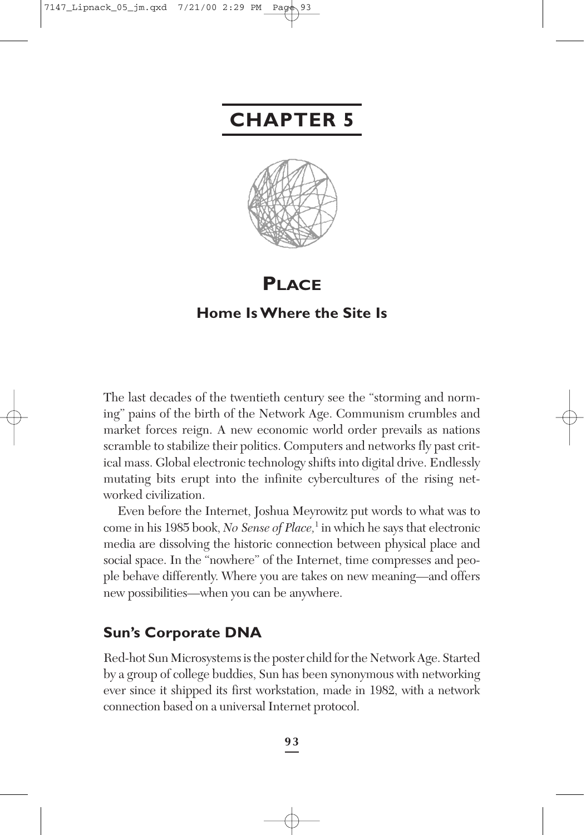# **CHAPTER 5**



**PLACE**

# **Home Is Where the Site Is**

The last decades of the twentieth century see the "storming and norming" pains of the birth of the Network Age. Communism crumbles and market forces reign. A new economic world order prevails as nations scramble to stabilize their politics. Computers and networks fly past critical mass. Global electronic technology shifts into digital drive. Endlessly mutating bits erupt into the infinite cybercultures of the rising networked civilization.

Even before the Internet, Joshua Meyrowitz put words to what was to come in his 1985 book, *No Sense of Place*,<sup>1</sup> in which he says that electronic media are dissolving the historic connection between physical place and social space. In the "nowhere" of the Internet, time compresses and people behave differently. Where you are takes on new meaning—and offers new possibilities—when you can be anywhere.

# **Sun's Corporate DNA**

Red-hot Sun Microsystems is the poster child for the Network Age. Started by a group of college buddies, Sun has been synonymous with networking ever since it shipped its first workstation, made in 1982, with a network connection based on a universal Internet protocol.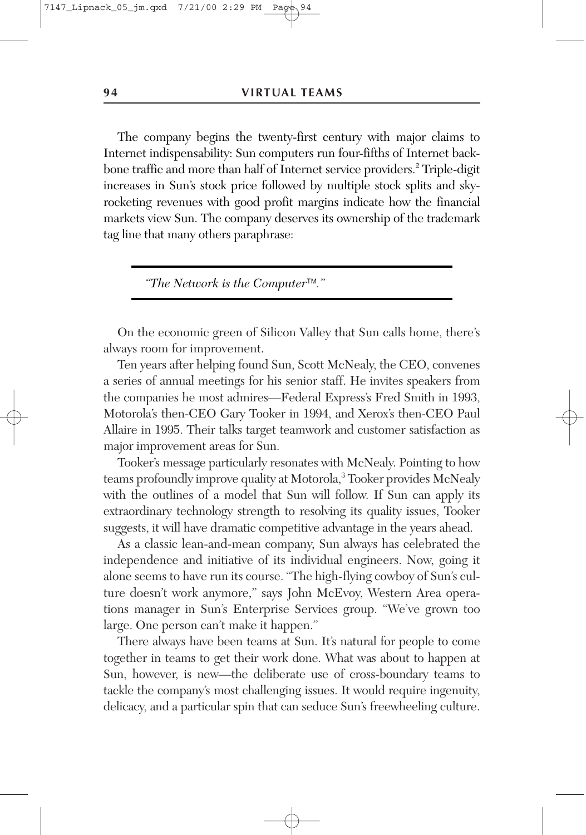The company begins the twenty-first century with major claims to Internet indispensability: Sun computers run four-fifths of Internet backbone traffic and more than half of Internet service providers.<sup>2</sup> Triple-digit increases in Sun's stock price followed by multiple stock splits and skyrocketing revenues with good profit margins indicate how the financial markets view Sun. The company deserves its ownership of the trademark tag line that many others paraphrase:

*"The Network is the Computer."*

On the economic green of Silicon Valley that Sun calls home, there's always room for improvement.

Ten years after helping found Sun, Scott McNealy, the CEO, convenes a series of annual meetings for his senior staff. He invites speakers from the companies he most admires—Federal Express's Fred Smith in 1993, Motorola's then-CEO Gary Tooker in 1994, and Xerox's then-CEO Paul Allaire in 1995. Their talks target teamwork and customer satisfaction as major improvement areas for Sun.

Tooker's message particularly resonates with McNealy. Pointing to how teams profoundly improve quality at Motorola,3 Tooker provides McNealy with the outlines of a model that Sun will follow. If Sun can apply its extraordinary technology strength to resolving its quality issues, Tooker suggests, it will have dramatic competitive advantage in the years ahead.

As a classic lean-and-mean company, Sun always has celebrated the independence and initiative of its individual engineers. Now, going it alone seems to have run its course. "The high-flying cowboy of Sun's culture doesn't work anymore," says John McEvoy, Western Area operations manager in Sun's Enterprise Services group. "We've grown too large. One person can't make it happen."

There always have been teams at Sun. It's natural for people to come together in teams to get their work done. What was about to happen at Sun, however, is new—the deliberate use of cross-boundary teams to tackle the company's most challenging issues. It would require ingenuity, delicacy, and a particular spin that can seduce Sun's freewheeling culture.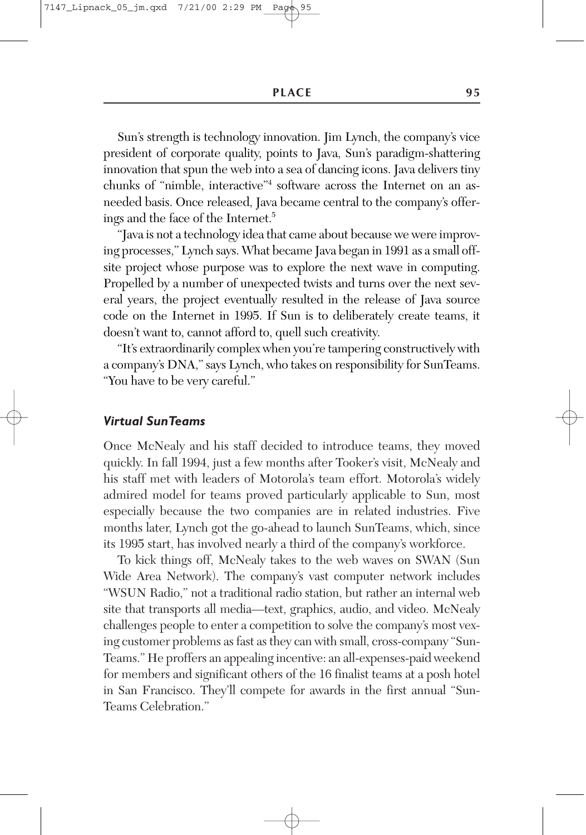Sun's strength is technology innovation. Jim Lynch, the company's vice president of corporate quality, points to Java, Sun's paradigm-shattering innovation that spun the web into a sea of dancing icons. Java delivers tiny chunks of "nimble, interactive"4 software across the Internet on an asneeded basis. Once released, Java became central to the company's offerings and the face of the Internet.5

"Java is not a technology idea that came about because we were improving processes," Lynch says. What became Java began in 1991 as a small offsite project whose purpose was to explore the next wave in computing. Propelled by a number of unexpected twists and turns over the next several years, the project eventually resulted in the release of Java source code on the Internet in 1995. If Sun is to deliberately create teams, it doesn't want to, cannot afford to, quell such creativity.

"It's extraordinarily complex when you're tampering constructively with a company's DNA," says Lynch, who takes on responsibility for SunTeams. "You have to be very careful."

#### *Virtual SunTeams*

Once McNealy and his staff decided to introduce teams, they moved quickly. In fall 1994, just a few months after Tooker's visit, McNealy and his staff met with leaders of Motorola's team effort. Motorola's widely admired model for teams proved particularly applicable to Sun, most especially because the two companies are in related industries. Five months later, Lynch got the go-ahead to launch SunTeams, which, since its 1995 start, has involved nearly a third of the company's workforce.

To kick things off, McNealy takes to the web waves on SWAN (Sun Wide Area Network). The company's vast computer network includes "WSUN Radio," not a traditional radio station, but rather an internal web site that transports all media—text, graphics, audio, and video. McNealy challenges people to enter a competition to solve the company's most vexing customer problems as fast as they can with small, cross-company "Sun-Teams." He proffers an appealing incentive: an all-expenses-paid weekend for members and significant others of the 16 finalist teams at a posh hotel in San Francisco. They'll compete for awards in the first annual "Sun-Teams Celebration."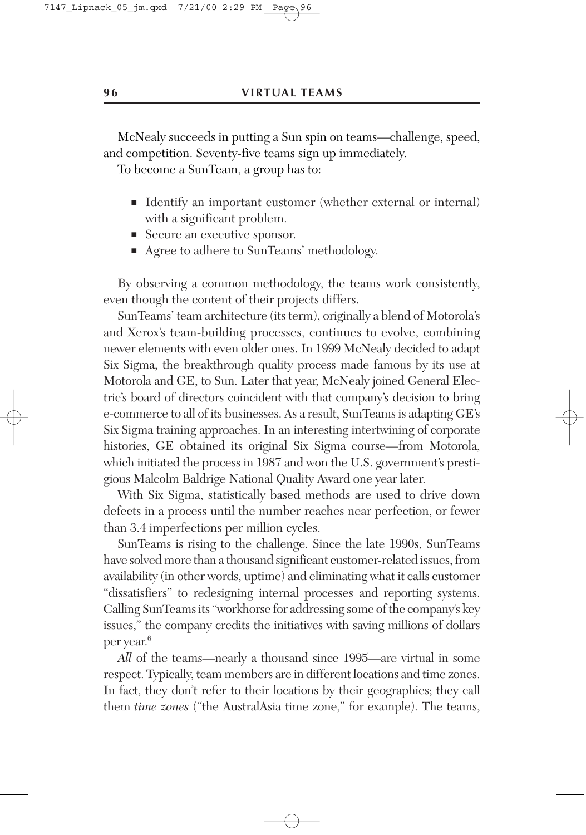McNealy succeeds in putting a Sun spin on teams—challenge, speed, and competition. Seventy-five teams sign up immediately.

To become a SunTeam, a group has to:

- Identify an important customer (whether external or internal) with a significant problem.
- Secure an executive sponsor.
- Agree to adhere to SunTeams' methodology.

By observing a common methodology, the teams work consistently, even though the content of their projects differs.

SunTeams' team architecture (its term), originally a blend of Motorola's and Xerox's team-building processes, continues to evolve, combining newer elements with even older ones. In 1999 McNealy decided to adapt Six Sigma, the breakthrough quality process made famous by its use at Motorola and GE, to Sun. Later that year, McNealy joined General Electric's board of directors coincident with that company's decision to bring e-commerce to all of its businesses. As a result, SunTeams is adapting GE's Six Sigma training approaches. In an interesting intertwining of corporate histories, GE obtained its original Six Sigma course—from Motorola, which initiated the process in 1987 and won the U.S. government's prestigious Malcolm Baldrige National Quality Award one year later.

With Six Sigma, statistically based methods are used to drive down defects in a process until the number reaches near perfection, or fewer than 3.4 imperfections per million cycles.

SunTeams is rising to the challenge. Since the late 1990s, SunTeams have solved more than a thousand significant customer-related issues, from availability (in other words, uptime) and eliminating what it calls customer "dissatisfiers" to redesigning internal processes and reporting systems. Calling SunTeams its "workhorse for addressing some of the company's key issues," the company credits the initiatives with saving millions of dollars per year.6

*All* of the teams—nearly a thousand since 1995—are virtual in some respect. Typically, team members are in different locations and time zones. In fact, they don't refer to their locations by their geographies; they call them *time zones* ("the AustralAsia time zone," for example). The teams,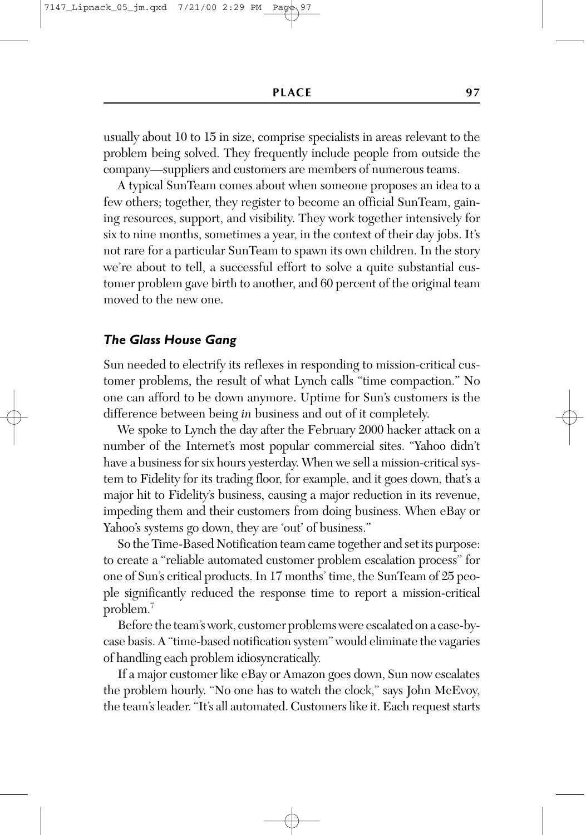usually about 10 to 15 in size, comprise specialists in areas relevant to the problem being solved. They frequently include people from outside the company—suppliers and customers are members of numerous teams.

A typical SunTeam comes about when someone proposes an idea to a few others; together, they register to become an official SunTeam, gaining resources, support, and visibility. They work together intensively for six to nine months, sometimes a year, in the context of their day jobs. It's not rare for a particular SunTeam to spawn its own children. In the story we're about to tell, a successful effort to solve a quite substantial customer problem gave birth to another, and 60 percent of the original team moved to the new one.

# *The Glass House Gang*

Sun needed to electrify its reflexes in responding to mission-critical customer problems, the result of what Lynch calls "time compaction." No one can afford to be down anymore. Uptime for Sun's customers is the difference between being *in* business and out of it completely.

We spoke to Lynch the day after the February 2000 hacker attack on a number of the Internet's most popular commercial sites. "Yahoo didn't have a business for six hours yesterday. When we sell a mission-critical system to Fidelity for its trading floor, for example, and it goes down, that's a major hit to Fidelity's business, causing a major reduction in its revenue, impeding them and their customers from doing business. When eBay or Yahoo's systems go down, they are 'out' of business."

So the Time-Based Notification team came together and set its purpose: to create a "reliable automated customer problem escalation process" for one of Sun's critical products. In 17 months' time, the SunTeam of 25 people significantly reduced the response time to report a mission-critical problem.7

Before the team's work, customer problems were escalated on a case-bycase basis. A "time-based notification system" would eliminate the vagaries of handling each problem idiosyncratically.

If a major customer like eBay or Amazon goes down, Sun now escalates the problem hourly. "No one has to watch the clock," says John McEvoy, the team's leader. "It's all automated. Customers like it. Each request starts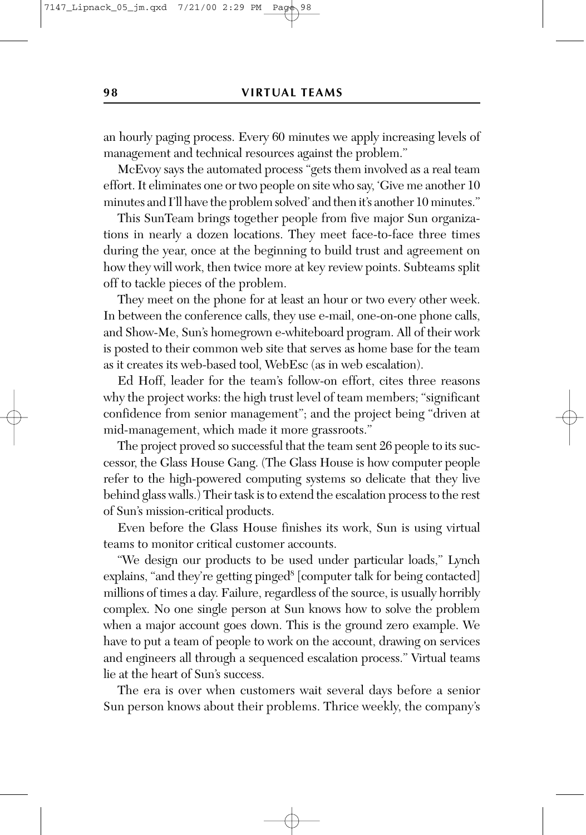an hourly paging process. Every 60 minutes we apply increasing levels of management and technical resources against the problem."

McEvoy says the automated process "gets them involved as a real team effort. It eliminates one or two people on site who say, 'Give me another 10 minutes and I'll have the problem solved' and then it's another 10 minutes."

This SunTeam brings together people from five major Sun organizations in nearly a dozen locations. They meet face-to-face three times during the year, once at the beginning to build trust and agreement on how they will work, then twice more at key review points. Subteams split off to tackle pieces of the problem.

They meet on the phone for at least an hour or two every other week. In between the conference calls, they use e-mail, one-on-one phone calls, and Show-Me, Sun's homegrown e-whiteboard program. All of their work is posted to their common web site that serves as home base for the team as it creates its web-based tool, WebEsc (as in web escalation).

Ed Hoff, leader for the team's follow-on effort, cites three reasons why the project works: the high trust level of team members; "significant confidence from senior management"; and the project being "driven at mid-management, which made it more grassroots."

The project proved so successful that the team sent 26 people to its successor, the Glass House Gang. (The Glass House is how computer people refer to the high-powered computing systems so delicate that they live behind glass walls.) Their task is to extend the escalation process to the rest of Sun's mission-critical products.

Even before the Glass House finishes its work, Sun is using virtual teams to monitor critical customer accounts.

"We design our products to be used under particular loads," Lynch explains, "and they're getting pinged<sup>8</sup> [computer talk for being contacted] millions of times a day. Failure, regardless of the source, is usually horribly complex. No one single person at Sun knows how to solve the problem when a major account goes down. This is the ground zero example. We have to put a team of people to work on the account, drawing on services and engineers all through a sequenced escalation process." Virtual teams lie at the heart of Sun's success.

The era is over when customers wait several days before a senior Sun person knows about their problems. Thrice weekly, the company's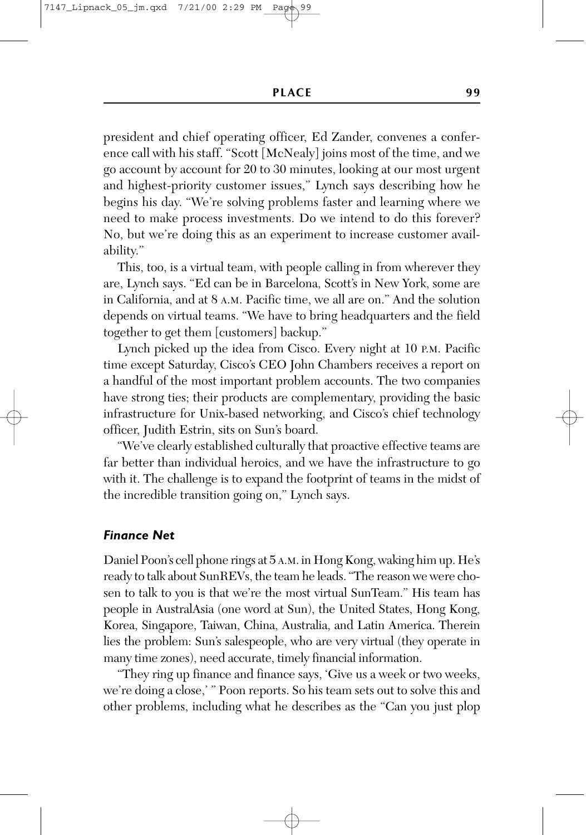president and chief operating officer, Ed Zander, convenes a conference call with his staff. "Scott [McNealy] joins most of the time, and we go account by account for 20 to 30 minutes, looking at our most urgent and highest-priority customer issues," Lynch says describing how he begins his day. "We're solving problems faster and learning where we need to make process investments. Do we intend to do this forever? No, but we're doing this as an experiment to increase customer availability."

This, too, is a virtual team, with people calling in from wherever they are, Lynch says. "Ed can be in Barcelona, Scott's in New York, some are in California, and at 8 A.M. Pacific time, we all are on." And the solution depends on virtual teams. "We have to bring headquarters and the field together to get them [customers] backup."

Lynch picked up the idea from Cisco. Every night at 10 P.M. Pacific time except Saturday, Cisco's CEO John Chambers receives a report on a handful of the most important problem accounts. The two companies have strong ties; their products are complementary, providing the basic infrastructure for Unix-based networking, and Cisco's chief technology officer, Judith Estrin, sits on Sun's board.

"We've clearly established culturally that proactive effective teams are far better than individual heroics, and we have the infrastructure to go with it. The challenge is to expand the footprint of teams in the midst of the incredible transition going on," Lynch says.

#### *Finance Net*

Daniel Poon's cell phone rings at 5 A.M. in Hong Kong, waking him up. He's ready to talk about SunREVs, the team he leads. "The reason we were chosen to talk to you is that we're the most virtual SunTeam." His team has people in AustralAsia (one word at Sun), the United States, Hong Kong, Korea, Singapore, Taiwan, China, Australia, and Latin America. Therein lies the problem: Sun's salespeople, who are very virtual (they operate in many time zones), need accurate, timely financial information.

"They ring up finance and finance says, 'Give us a week or two weeks, we're doing a close,' " Poon reports. So his team sets out to solve this and other problems, including what he describes as the "Can you just plop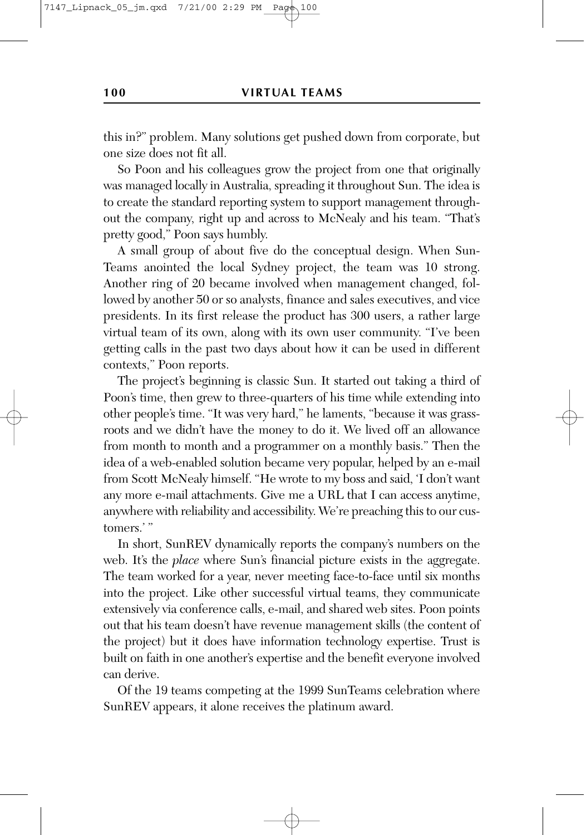this in?" problem. Many solutions get pushed down from corporate, but one size does not fit all.

So Poon and his colleagues grow the project from one that originally was managed locally in Australia, spreading it throughout Sun. The idea is to create the standard reporting system to support management throughout the company, right up and across to McNealy and his team. "That's pretty good," Poon says humbly.

A small group of about five do the conceptual design. When Sun-Teams anointed the local Sydney project, the team was 10 strong. Another ring of 20 became involved when management changed, followed by another 50 or so analysts, finance and sales executives, and vice presidents. In its first release the product has 300 users, a rather large virtual team of its own, along with its own user community. "I've been getting calls in the past two days about how it can be used in different contexts," Poon reports.

The project's beginning is classic Sun. It started out taking a third of Poon's time, then grew to three-quarters of his time while extending into other people's time. "It was very hard," he laments, "because it was grassroots and we didn't have the money to do it. We lived off an allowance from month to month and a programmer on a monthly basis." Then the idea of a web-enabled solution became very popular, helped by an e-mail from Scott McNealy himself. "He wrote to my boss and said, 'I don't want any more e-mail attachments. Give me a URL that I can access anytime, anywhere with reliability and accessibility. We're preaching this to our customers.'"

In short, SunREV dynamically reports the company's numbers on the web. It's the *place* where Sun's financial picture exists in the aggregate. The team worked for a year, never meeting face-to-face until six months into the project. Like other successful virtual teams, they communicate extensively via conference calls, e-mail, and shared web sites. Poon points out that his team doesn't have revenue management skills (the content of the project) but it does have information technology expertise. Trust is built on faith in one another's expertise and the benefit everyone involved can derive.

Of the 19 teams competing at the 1999 SunTeams celebration where SunREV appears, it alone receives the platinum award.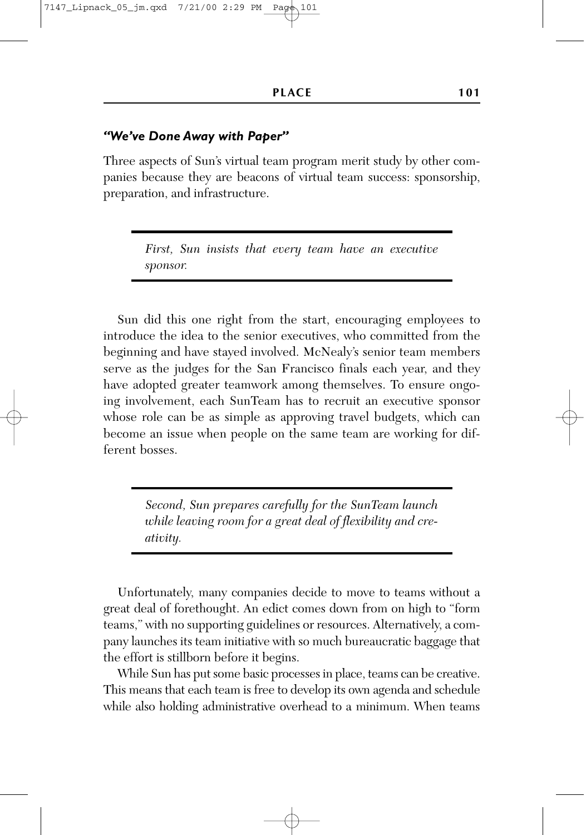# *"We've Done Away with Paper"*

Three aspects of Sun's virtual team program merit study by other companies because they are beacons of virtual team success: sponsorship, preparation, and infrastructure.

> *First, Sun insists that every team have an executive sponsor.*

Sun did this one right from the start, encouraging employees to introduce the idea to the senior executives, who committed from the beginning and have stayed involved. McNealy's senior team members serve as the judges for the San Francisco finals each year, and they have adopted greater teamwork among themselves. To ensure ongoing involvement, each SunTeam has to recruit an executive sponsor whose role can be as simple as approving travel budgets, which can become an issue when people on the same team are working for different bosses.

> *Second, Sun prepares carefully for the SunTeam launch while leaving room for a great deal of flexibility and creativity.*

Unfortunately, many companies decide to move to teams without a great deal of forethought. An edict comes down from on high to "form teams," with no supporting guidelines or resources. Alternatively, a company launches its team initiative with so much bureaucratic baggage that the effort is stillborn before it begins.

While Sun has put some basic processes in place, teams can be creative. This means that each team is free to develop its own agenda and schedule while also holding administrative overhead to a minimum. When teams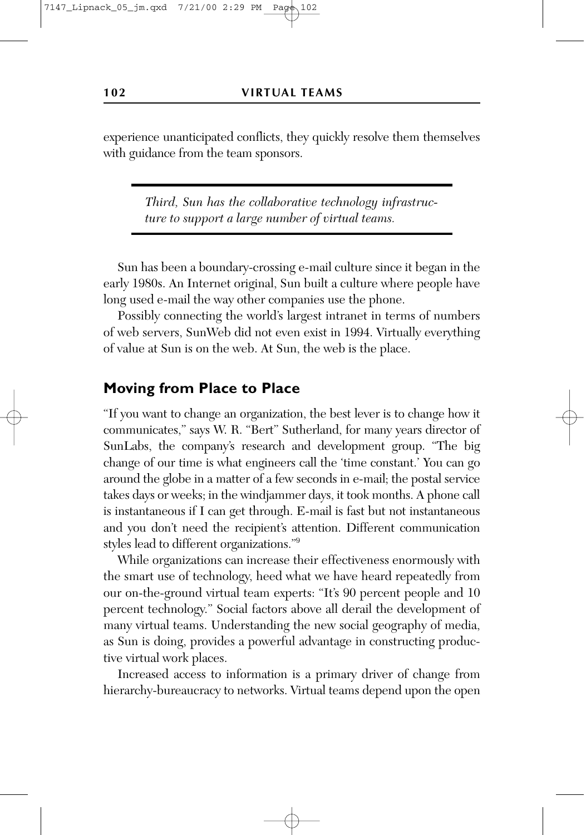experience unanticipated conflicts, they quickly resolve them themselves with guidance from the team sponsors.

> *Third, Sun has the collaborative technology infrastructure to support a large number of virtual teams.*

Sun has been a boundary-crossing e-mail culture since it began in the early 1980s. An Internet original, Sun built a culture where people have long used e-mail the way other companies use the phone.

Possibly connecting the world's largest intranet in terms of numbers of web servers, SunWeb did not even exist in 1994. Virtually everything of value at Sun is on the web. At Sun, the web is the place.

# **Moving from Place to Place**

"If you want to change an organization, the best lever is to change how it communicates," says W. R. "Bert" Sutherland, for many years director of SunLabs, the company's research and development group. "The big change of our time is what engineers call the 'time constant.' You can go around the globe in a matter of a few seconds in e-mail; the postal service takes days or weeks; in the windjammer days, it took months. A phone call is instantaneous if I can get through. E-mail is fast but not instantaneous and you don't need the recipient's attention. Different communication styles lead to different organizations."9

While organizations can increase their effectiveness enormously with the smart use of technology, heed what we have heard repeatedly from our on-the-ground virtual team experts: "It's 90 percent people and 10 percent technology." Social factors above all derail the development of many virtual teams. Understanding the new social geography of media, as Sun is doing, provides a powerful advantage in constructing productive virtual work places.

Increased access to information is a primary driver of change from hierarchy-bureaucracy to networks. Virtual teams depend upon the open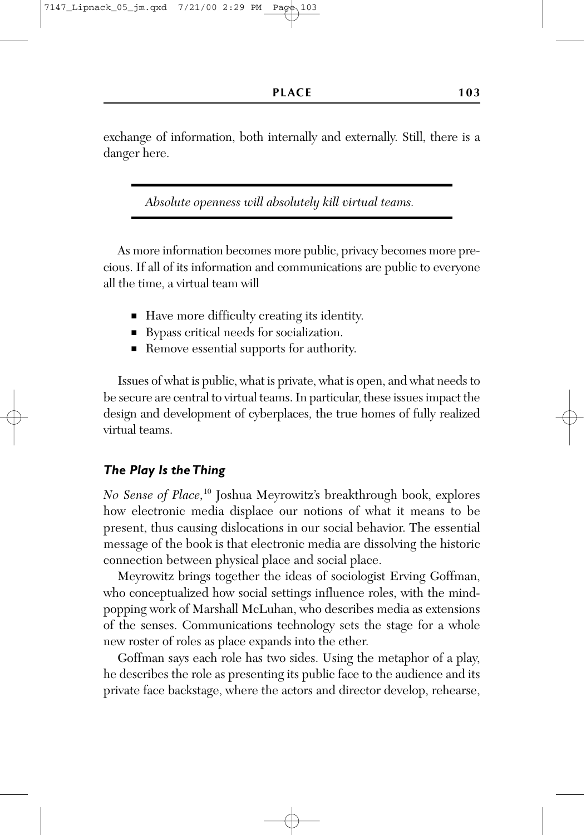exchange of information, both internally and externally. Still, there is a danger here.

*Absolute openness will absolutely kill virtual teams.*

As more information becomes more public, privacy becomes more precious. If all of its information and communications are public to everyone all the time, a virtual team will

- Have more difficulty creating its identity.
- Bypass critical needs for socialization.
- Remove essential supports for authority.

Issues of what is public, what is private, what is open, and what needs to be secure are central to virtual teams. In particular, these issues impact the design and development of cyberplaces, the true homes of fully realized virtual teams.

# *The Play Is the Thing*

*No Sense of Place,*<sup>10</sup> Joshua Meyrowitz's breakthrough book, explores how electronic media displace our notions of what it means to be present, thus causing dislocations in our social behavior. The essential message of the book is that electronic media are dissolving the historic connection between physical place and social place.

Meyrowitz brings together the ideas of sociologist Erving Goffman, who conceptualized how social settings influence roles, with the mindpopping work of Marshall McLuhan, who describes media as extensions of the senses. Communications technology sets the stage for a whole new roster of roles as place expands into the ether.

Goffman says each role has two sides. Using the metaphor of a play, he describes the role as presenting its public face to the audience and its private face backstage, where the actors and director develop, rehearse,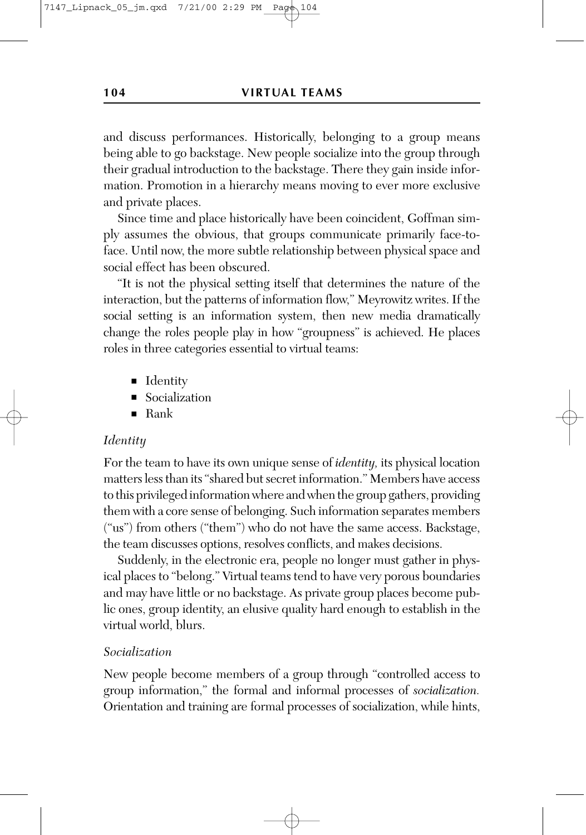and discuss performances. Historically, belonging to a group means being able to go backstage. New people socialize into the group through their gradual introduction to the backstage. There they gain inside information. Promotion in a hierarchy means moving to ever more exclusive and private places.

Since time and place historically have been coincident, Goffman simply assumes the obvious, that groups communicate primarily face-toface. Until now, the more subtle relationship between physical space and social effect has been obscured.

"It is not the physical setting itself that determines the nature of the interaction, but the patterns of information flow," Meyrowitz writes. If the social setting is an information system, then new media dramatically change the roles people play in how "groupness" is achieved. He places roles in three categories essential to virtual teams:

- Identity
- Socialization
- Rank

# *Identity*

For the team to have its own unique sense of *identity,* its physical location matters less than its "shared but secret information." Members have access to this privileged information where and when the group gathers, providing them with a core sense of belonging. Such information separates members ("us") from others ("them") who do not have the same access. Backstage, the team discusses options, resolves conflicts, and makes decisions.

Suddenly, in the electronic era, people no longer must gather in physical places to "belong." Virtual teams tend to have very porous boundaries and may have little or no backstage. As private group places become public ones, group identity, an elusive quality hard enough to establish in the virtual world, blurs.

#### *Socialization*

New people become members of a group through "controlled access to group information," the formal and informal processes of *socialization.* Orientation and training are formal processes of socialization, while hints,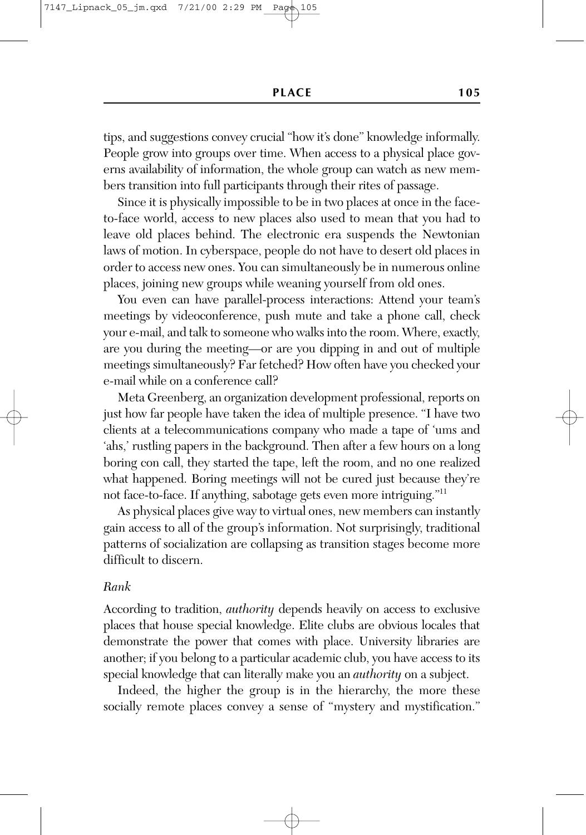tips, and suggestions convey crucial "how it's done" knowledge informally. People grow into groups over time. When access to a physical place governs availability of information, the whole group can watch as new members transition into full participants through their rites of passage.

Since it is physically impossible to be in two places at once in the faceto-face world, access to new places also used to mean that you had to leave old places behind. The electronic era suspends the Newtonian laws of motion. In cyberspace, people do not have to desert old places in order to access new ones. You can simultaneously be in numerous online places, joining new groups while weaning yourself from old ones.

You even can have parallel-process interactions: Attend your team's meetings by videoconference, push mute and take a phone call, check your e-mail, and talk to someone who walks into the room. Where, exactly, are you during the meeting—or are you dipping in and out of multiple meetings simultaneously? Far fetched? How often have you checked your e-mail while on a conference call?

Meta Greenberg, an organization development professional, reports on just how far people have taken the idea of multiple presence. "I have two clients at a telecommunications company who made a tape of 'ums and 'ahs,' rustling papers in the background. Then after a few hours on a long boring con call, they started the tape, left the room, and no one realized what happened. Boring meetings will not be cured just because they're not face-to-face. If anything, sabotage gets even more intriguing."11

As physical places give way to virtual ones, new members can instantly gain access to all of the group's information. Not surprisingly, traditional patterns of socialization are collapsing as transition stages become more difficult to discern.

#### *Rank*

According to tradition, *authority* depends heavily on access to exclusive places that house special knowledge. Elite clubs are obvious locales that demonstrate the power that comes with place. University libraries are another; if you belong to a particular academic club, you have access to its special knowledge that can literally make you an *authority* on a subject.

Indeed, the higher the group is in the hierarchy, the more these socially remote places convey a sense of "mystery and mystification."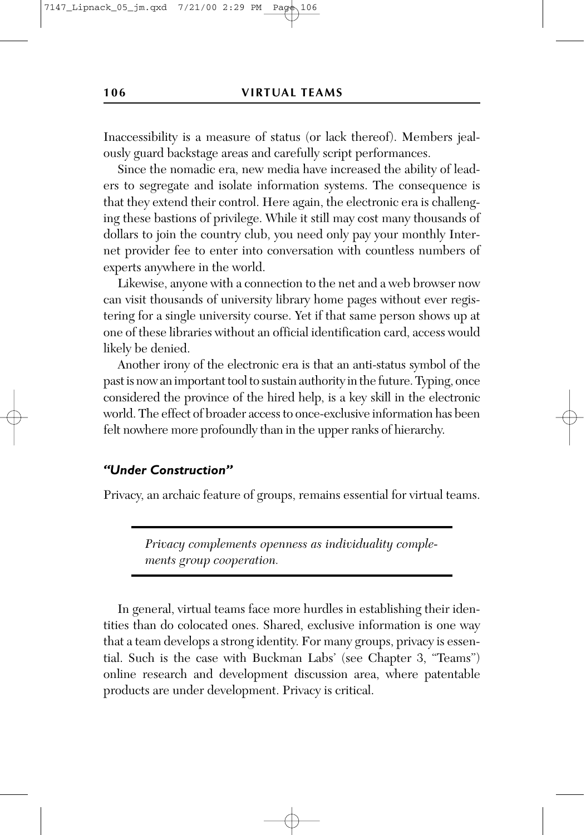Inaccessibility is a measure of status (or lack thereof). Members jealously guard backstage areas and carefully script performances.

Since the nomadic era, new media have increased the ability of leaders to segregate and isolate information systems. The consequence is that they extend their control. Here again, the electronic era is challenging these bastions of privilege. While it still may cost many thousands of dollars to join the country club, you need only pay your monthly Internet provider fee to enter into conversation with countless numbers of experts anywhere in the world.

Likewise, anyone with a connection to the net and a web browser now can visit thousands of university library home pages without ever registering for a single university course. Yet if that same person shows up at one of these libraries without an official identification card, access would likely be denied.

Another irony of the electronic era is that an anti-status symbol of the past is now an important tool to sustain authority in the future. Typing, once considered the province of the hired help, is a key skill in the electronic world. The effect of broader access to once-exclusive information has been felt nowhere more profoundly than in the upper ranks of hierarchy.

#### *"Under Construction"*

Privacy, an archaic feature of groups, remains essential for virtual teams.

*Privacy complements openness as individuality complements group cooperation.*

In general, virtual teams face more hurdles in establishing their identities than do colocated ones. Shared, exclusive information is one way that a team develops a strong identity. For many groups, privacy is essential. Such is the case with Buckman Labs' (see Chapter 3, "Teams") online research and development discussion area, where patentable products are under development. Privacy is critical.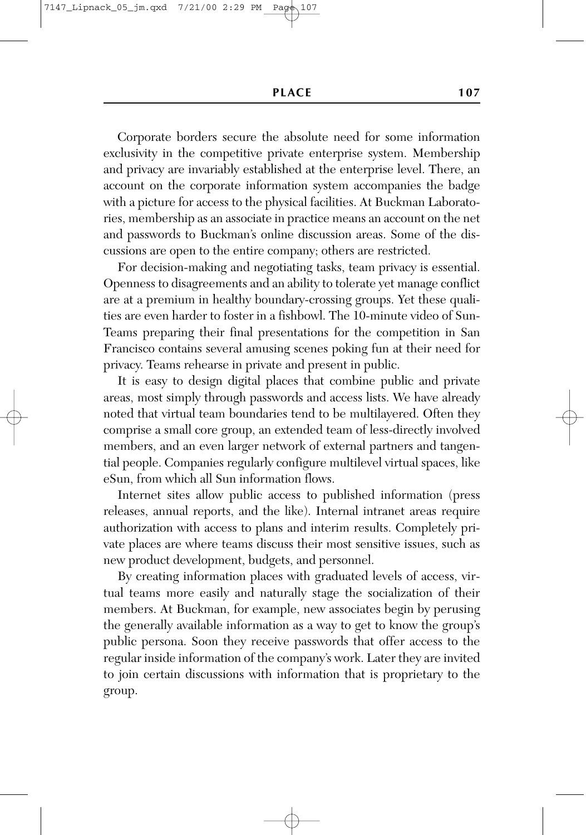Corporate borders secure the absolute need for some information exclusivity in the competitive private enterprise system. Membership and privacy are invariably established at the enterprise level. There, an account on the corporate information system accompanies the badge with a picture for access to the physical facilities. At Buckman Laboratories, membership as an associate in practice means an account on the net and passwords to Buckman's online discussion areas. Some of the discussions are open to the entire company; others are restricted.

For decision-making and negotiating tasks, team privacy is essential. Openness to disagreements and an ability to tolerate yet manage conflict are at a premium in healthy boundary-crossing groups. Yet these qualities are even harder to foster in a fishbowl. The 10-minute video of Sun-Teams preparing their final presentations for the competition in San Francisco contains several amusing scenes poking fun at their need for privacy. Teams rehearse in private and present in public.

It is easy to design digital places that combine public and private areas, most simply through passwords and access lists. We have already noted that virtual team boundaries tend to be multilayered. Often they comprise a small core group, an extended team of less-directly involved members, and an even larger network of external partners and tangential people. Companies regularly configure multilevel virtual spaces, like eSun, from which all Sun information flows.

Internet sites allow public access to published information (press releases, annual reports, and the like). Internal intranet areas require authorization with access to plans and interim results. Completely private places are where teams discuss their most sensitive issues, such as new product development, budgets, and personnel.

By creating information places with graduated levels of access, virtual teams more easily and naturally stage the socialization of their members. At Buckman, for example, new associates begin by perusing the generally available information as a way to get to know the group's public persona. Soon they receive passwords that offer access to the regular inside information of the company's work. Later they are invited to join certain discussions with information that is proprietary to the group.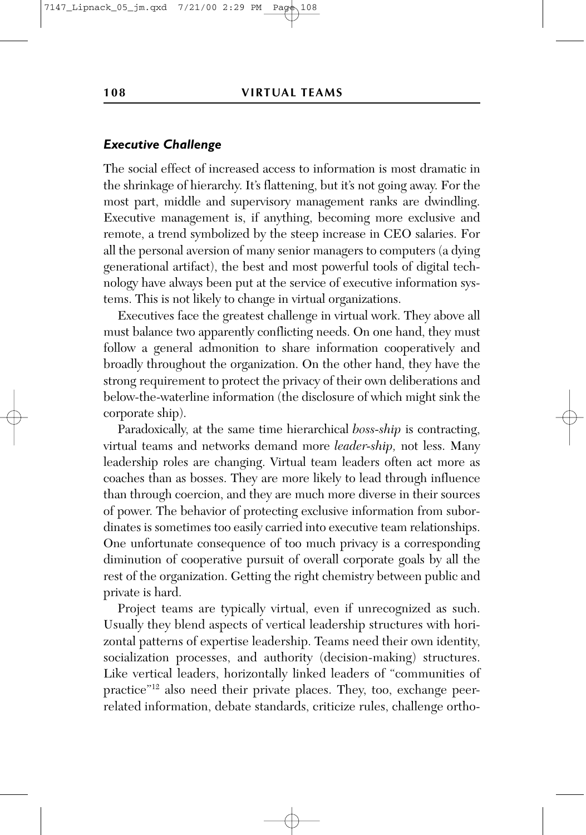# *Executive Challenge*

The social effect of increased access to information is most dramatic in the shrinkage of hierarchy. It's flattening, but it's not going away. For the most part, middle and supervisory management ranks are dwindling. Executive management is, if anything, becoming more exclusive and remote, a trend symbolized by the steep increase in CEO salaries. For all the personal aversion of many senior managers to computers (a dying generational artifact), the best and most powerful tools of digital technology have always been put at the service of executive information systems. This is not likely to change in virtual organizations.

Executives face the greatest challenge in virtual work. They above all must balance two apparently conflicting needs. On one hand, they must follow a general admonition to share information cooperatively and broadly throughout the organization. On the other hand, they have the strong requirement to protect the privacy of their own deliberations and below-the-waterline information (the disclosure of which might sink the corporate ship).

Paradoxically, at the same time hierarchical *boss-ship* is contracting, virtual teams and networks demand more *leader-ship,* not less. Many leadership roles are changing. Virtual team leaders often act more as coaches than as bosses. They are more likely to lead through influence than through coercion, and they are much more diverse in their sources of power. The behavior of protecting exclusive information from subordinates is sometimes too easily carried into executive team relationships. One unfortunate consequence of too much privacy is a corresponding diminution of cooperative pursuit of overall corporate goals by all the rest of the organization. Getting the right chemistry between public and private is hard.

Project teams are typically virtual, even if unrecognized as such. Usually they blend aspects of vertical leadership structures with horizontal patterns of expertise leadership. Teams need their own identity, socialization processes, and authority (decision-making) structures. Like vertical leaders, horizontally linked leaders of "communities of practice"12 also need their private places. They, too, exchange peerrelated information, debate standards, criticize rules, challenge ortho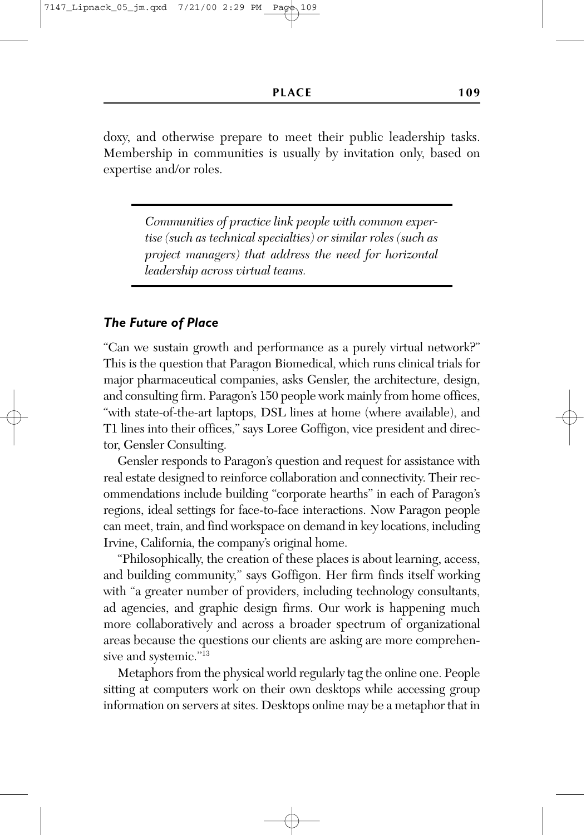doxy, and otherwise prepare to meet their public leadership tasks. Membership in communities is usually by invitation only, based on expertise and/or roles.

> *Communities of practice link people with common expertise (such as technical specialties) or similar roles (such as project managers) that address the need for horizontal leadership across virtual teams.*

## *The Future of Place*

"Can we sustain growth and performance as a purely virtual network?" This is the question that Paragon Biomedical, which runs clinical trials for major pharmaceutical companies, asks Gensler, the architecture, design, and consulting firm. Paragon's 150 people work mainly from home offices, "with state-of-the-art laptops, DSL lines at home (where available), and T1 lines into their offices," says Loree Goffigon, vice president and director, Gensler Consulting.

Gensler responds to Paragon's question and request for assistance with real estate designed to reinforce collaboration and connectivity. Their recommendations include building "corporate hearths" in each of Paragon's regions, ideal settings for face-to-face interactions. Now Paragon people can meet, train, and find workspace on demand in key locations, including Irvine, California, the company's original home.

"Philosophically, the creation of these places is about learning, access, and building community," says Goffigon. Her firm finds itself working with "a greater number of providers, including technology consultants, ad agencies, and graphic design firms. Our work is happening much more collaboratively and across a broader spectrum of organizational areas because the questions our clients are asking are more comprehensive and systemic."13

Metaphors from the physical world regularly tag the online one. People sitting at computers work on their own desktops while accessing group information on servers at sites. Desktops online may be a metaphor that in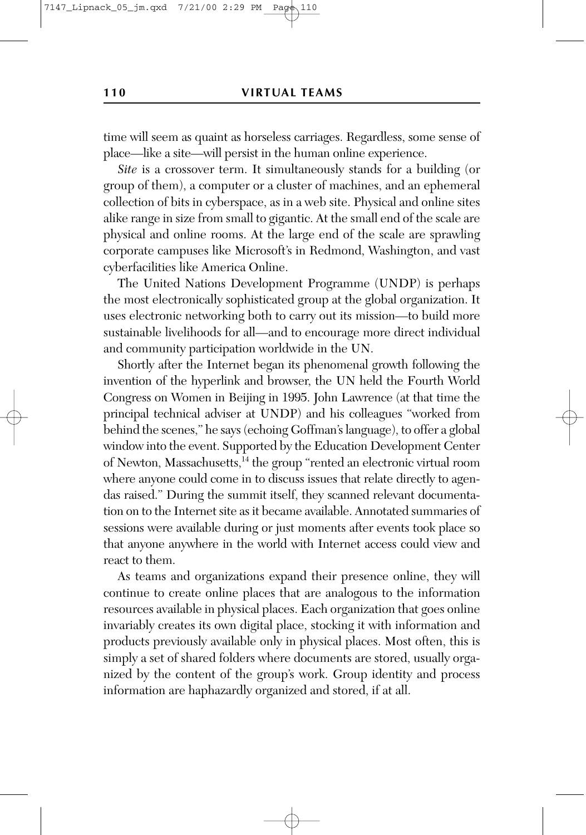time will seem as quaint as horseless carriages. Regardless, some sense of place—like a site—will persist in the human online experience.

*Site* is a crossover term. It simultaneously stands for a building (or group of them), a computer or a cluster of machines, and an ephemeral collection of bits in cyberspace, as in a web site. Physical and online sites alike range in size from small to gigantic. At the small end of the scale are physical and online rooms. At the large end of the scale are sprawling corporate campuses like Microsoft's in Redmond, Washington, and vast cyberfacilities like America Online.

The United Nations Development Programme (UNDP) is perhaps the most electronically sophisticated group at the global organization. It uses electronic networking both to carry out its mission—to build more sustainable livelihoods for all—and to encourage more direct individual and community participation worldwide in the UN.

Shortly after the Internet began its phenomenal growth following the invention of the hyperlink and browser, the UN held the Fourth World Congress on Women in Beijing in 1995. John Lawrence (at that time the principal technical adviser at UNDP) and his colleagues "worked from behind the scenes," he says (echoing Goffman's language), to offer a global window into the event. Supported by the Education Development Center of Newton, Massachusetts,<sup>14</sup> the group "rented an electronic virtual room where anyone could come in to discuss issues that relate directly to agendas raised." During the summit itself, they scanned relevant documentation on to the Internet site as it became available. Annotated summaries of sessions were available during or just moments after events took place so that anyone anywhere in the world with Internet access could view and react to them.

As teams and organizations expand their presence online, they will continue to create online places that are analogous to the information resources available in physical places. Each organization that goes online invariably creates its own digital place, stocking it with information and products previously available only in physical places. Most often, this is simply a set of shared folders where documents are stored, usually organized by the content of the group's work. Group identity and process information are haphazardly organized and stored, if at all.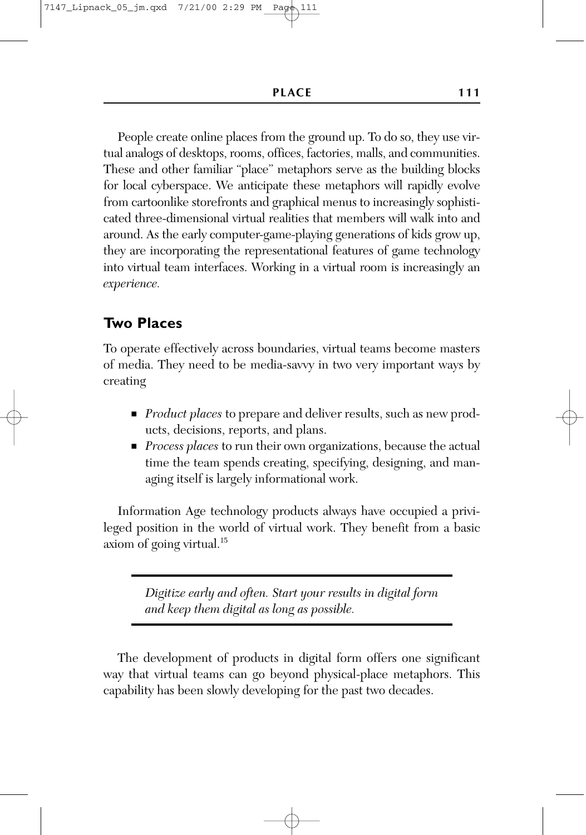People create online places from the ground up. To do so, they use virtual analogs of desktops, rooms, offices, factories, malls, and communities. These and other familiar "place" metaphors serve as the building blocks for local cyberspace. We anticipate these metaphors will rapidly evolve from cartoonlike storefronts and graphical menus to increasingly sophisticated three-dimensional virtual realities that members will walk into and around. As the early computer-game-playing generations of kids grow up, they are incorporating the representational features of game technology into virtual team interfaces. Working in a virtual room is increasingly an *experience.*

# **Two Places**

To operate effectively across boundaries, virtual teams become masters of media. They need to be media-savvy in two very important ways by creating

- *Product places* to prepare and deliver results, such as new products, decisions, reports, and plans.
- *Process places* to run their own organizations, because the actual time the team spends creating, specifying, designing, and managing itself is largely informational work.

Information Age technology products always have occupied a privileged position in the world of virtual work. They benefit from a basic axiom of going virtual.15

> *Digitize early and often. Start your results in digital form and keep them digital as long as possible.*

The development of products in digital form offers one significant way that virtual teams can go beyond physical-place metaphors. This capability has been slowly developing for the past two decades.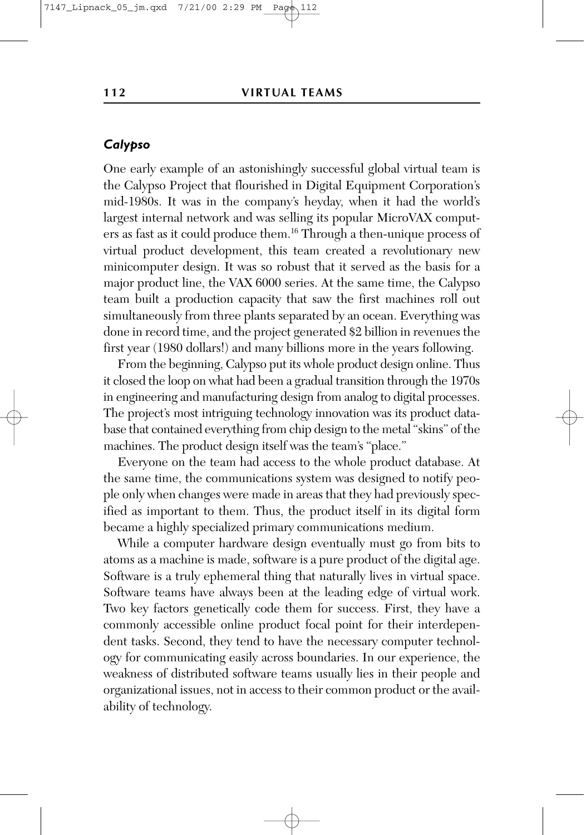## *Calypso*

One early example of an astonishingly successful global virtual team is the Calypso Project that flourished in Digital Equipment Corporation's mid-1980s. It was in the company's heyday, when it had the world's largest internal network and was selling its popular MicroVAX computers as fast as it could produce them.16 Through a then-unique process of virtual product development, this team created a revolutionary new minicomputer design. It was so robust that it served as the basis for a major product line, the VAX 6000 series. At the same time, the Calypso team built a production capacity that saw the first machines roll out simultaneously from three plants separated by an ocean. Everything was done in record time, and the project generated \$2 billion in revenues the first year (1980 dollars!) and many billions more in the years following.

From the beginning, Calypso put its whole product design online. Thus it closed the loop on what had been a gradual transition through the 1970s in engineering and manufacturing design from analog to digital processes. The project's most intriguing technology innovation was its product database that contained everything from chip design to the metal "skins" of the machines. The product design itself was the team's "place."

Everyone on the team had access to the whole product database. At the same time, the communications system was designed to notify people only when changes were made in areas that they had previously specified as important to them. Thus, the product itself in its digital form became a highly specialized primary communications medium.

While a computer hardware design eventually must go from bits to atoms as a machine is made, software is a pure product of the digital age. Software is a truly ephemeral thing that naturally lives in virtual space. Software teams have always been at the leading edge of virtual work. Two key factors genetically code them for success. First, they have a commonly accessible online product focal point for their interdependent tasks. Second, they tend to have the necessary computer technology for communicating easily across boundaries. In our experience, the weakness of distributed software teams usually lies in their people and organizational issues, not in access to their common product or the availability of technology.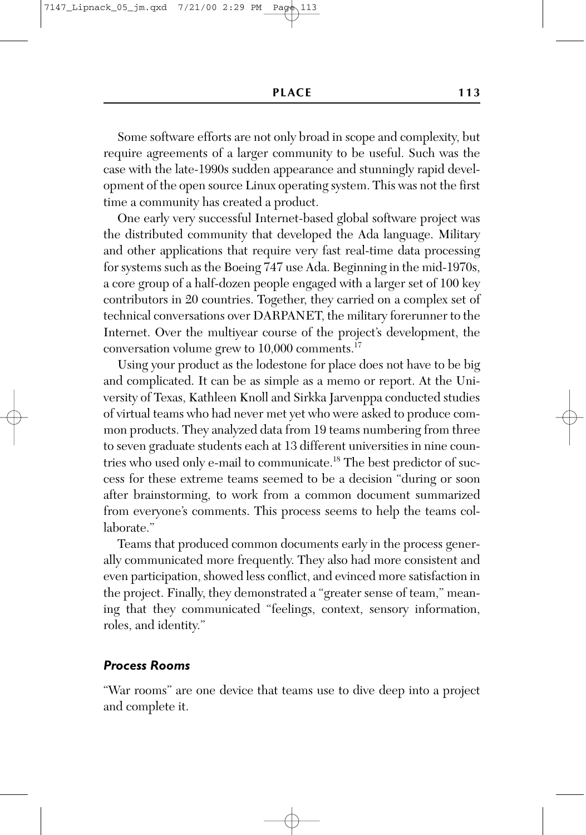Some software efforts are not only broad in scope and complexity, but require agreements of a larger community to be useful. Such was the case with the late-1990s sudden appearance and stunningly rapid development of the open source Linux operating system. This was not the first time a community has created a product.

One early very successful Internet-based global software project was the distributed community that developed the Ada language. Military and other applications that require very fast real-time data processing for systems such as the Boeing 747 use Ada. Beginning in the mid-1970s, a core group of a half-dozen people engaged with a larger set of 100 key contributors in 20 countries. Together, they carried on a complex set of technical conversations over DARPANET, the military forerunner to the Internet. Over the multiyear course of the project's development, the conversation volume grew to  $10,000$  comments.<sup>17</sup>

Using your product as the lodestone for place does not have to be big and complicated. It can be as simple as a memo or report. At the University of Texas, Kathleen Knoll and Sirkka Jarvenppa conducted studies of virtual teams who had never met yet who were asked to produce common products. They analyzed data from 19 teams numbering from three to seven graduate students each at 13 different universities in nine countries who used only e-mail to communicate.18 The best predictor of success for these extreme teams seemed to be a decision "during or soon after brainstorming, to work from a common document summarized from everyone's comments. This process seems to help the teams collaborate."

Teams that produced common documents early in the process generally communicated more frequently. They also had more consistent and even participation, showed less conflict, and evinced more satisfaction in the project. Finally, they demonstrated a "greater sense of team," meaning that they communicated "feelings, context, sensory information, roles, and identity."

#### *Process Rooms*

"War rooms" are one device that teams use to dive deep into a project and complete it.